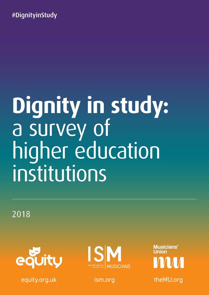#DignityinStudy

# **Dignity in study:**  a survey of higher education institutions

2018



A **#DignityinStudy:** a survey of higher education institutions equity.org.uk ism.org theMU.org



**Musicians'**<br>Union A VII VII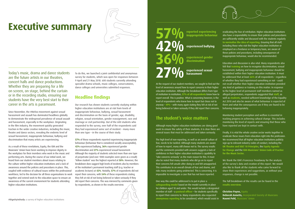# **Executive summary**



Today's music, drama and dance students are the future artists in our theatres, concert halls and dance productions. Whether they are preparing for a life on screen, on stage, behind the curtain or in the recording studio, ensuring our students have the very best start to their career in the arts is paramount.

Since November, the #MeToo movement against sexual harassment and assault has dominated headlines globally to demonstrate the widespread prevalence of sexual assault and harassment, especially in the workplace. Originating in the film industry, the movement quickly generated traction in the wider creative industries, including the music, theatre and dance sectors, revealing the endemic level of sexual harassment, inappropriate behaviour, bullying and discrimination that many artists are experiencing.

As a result of these revelations, Equity, the ISM and the Musicians' Union have been working to improve dignity in the workplace for their members who work in the music and performing arts. During the course of our initial work, we heard from our student members about issues relating to the culture within higher education institutions and a lack of awareness around the policies and procedures in place. This, coupled with evidence of cultural issues within the professional workforce, led to the decision for all three organisations to work together and extend work to the education space to ensure an awareness of the current environment for students attending higher education institutions.

To do this, we launched a joint confidential and anonymous survey for students, which was open for responses between 9 April and 21 May 2018. 600 students currently attending specialist drama schools, music colleges, conservatoires, dance colleges and universities submitted responses.

#### **Headline findings**

Our research has shown students currently studying within higher education institutions are at risk from levels of inappropriate behaviour, bullying, sexual harassment and discrimination on the basis of gender, age, disability, religion, sexual orientation, gender reassignment, race and marriage or civil partnership. Out of the 600 students who responded to the survey, over half of the respondents said they had experienced some sort of incident – many more than one type – in the course of their study.

**57%** of these respondents reported experiencing inappropriate behaviour (behaviour that is considered socially unacceptable), **42%** experienced bullying, **36%** experienced gender discrimination and **27%** experienced sexual harassment. Although the majority of students selected more than one type of perpetrator (and over 1000 examples were given as a result) 'fellow student' was the highest reported at **58%**. However, the breakdown does suggest high levels of incidents also by members of the institution's permanent teaching staff (e.g. teacher or academic lecturer) at **42%**. Notably, **57%** of respondents did not report their concerns, with **54%** of these respondents stating they felt at risk of not being believed or taken seriously if they did report their concerns. This was mirrored by comments given by respondents, as shown in the results overview.

# **57 %** reported experiencing

At the request of our student members, we sought to find out the not recall whether their higher education institution provided level of awareness around how to report concerns in their higher education institution. Although the breakdown differs from type of institution to institution, **57% of all respondents** knew how to report overall. This is positive. What is concerning however, is the level of respondents who knew how to report but chose not to anyway – **49%** – with many again stating they felt at risk of not being believed or taken seriously if they did report their concerns.

27% experienced sexual **and a sexual harassment**

#### **The student's voice matters**

Although many higher education institutions are doing good work to ensure the safety of their students, it is clear there are several issues that must be addressed and taken seriously.

The high level of non-reporting, as well as an overall culture of fear, needs to be tackled. Although many students are aware of how to report, many still choose not to. The survey results and the comments provided with answers suggests a lack of confidence in their higher education institution's capability to 'take concerns seriously' as the main reason for this. It must also be noted that many students who did go on to report their concerns felt unsafe after doing so and felt unsupported. This contributes to an overall climate of fear and shame, and risks many incidents going undetected. This is concerning. It is impossible to investigate a case that has not been reported.

#### One way this could be addressed is to put in place a

**safeguarding model** based on the model currently in place for children aged 18 and under. This would include a designated member of staff – a **pastoral officer** – for students specifically to report their concerns to. Many respondents also requested **anonymous reporting** to be considered, which would assist in

eradicating the fear of retribution. Higher education institutions also have a responsibility to ensure their policies and procedures are sufficiently visible and discussed with the students regularly **to normalise the idea of reporting**. Ensuring that all staff, including those who visit the higher education institution or employed on a freelance or temporary basis, are aware of these policies and procedures, including consequences of inappropriate behaviour, would also be recommended.

Education and discussion is also vital. Many respondents also felt that **training** on how to recognise discrimination, sexual harassment, bullying and inappropriate behaviour should be established within their higher education institution. It must be addressed that at least **66%** of all respondents – regardless of whether they had experienced something or not – could any kind of guidance or training on this matter. In response to the higher level of permanent staff members named as alleged perpetrators, respondents suggested that **staff**, as well as **students**, needed sufficient knowledge of the Equality Act 2010 and also be aware of what behaviour is expected of them and what the consequences are if they are found to be behaving inappropriately.

Monitoring student perception and welfare is essential in tracking progress in achieving cultural change. This includes monitoring the level of reports and ensuring that those who have reported are kept in contact with.

Finally, it is vital the whole creative sector works together to eradicate these issues from education right into the profession. We recommend that all higher education institutions publicly sign up to relevant industry codes of conduct, including the **UK Theatre and SOLT 10 Principles**, the **Equity Agenda for Change** and the **ISM-Musicians' Union Code of Practice for the Music Sector.**

We thank the ISM's Francesca Treadaway for the analysis of the survey's data and creation of this report. We would also like to thank all the students who came forward to share their experiences and suggestions, as without your responses, change is not possible.

The full breakdown of the results can be found in the **results overview**.

**Christine Payne,** Equity **Deborah Annetts, Incorporated Society of Musicians Naomi Pohl,** Musicians' Union

**inappropriate behaviour**

#### **experienced bullying**

**36%experienced gender discrimination**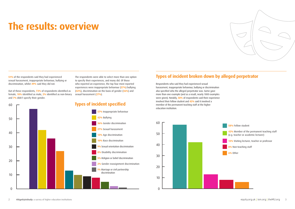

**51%** of the respondents said they had experienced sexual harassment, inappropriate behaviour, bullying or discrimination, whilst **49%** said they did not.

Out of these respondents, **73%** of respondents identified as female, **18%** identified as male, **2%** identified as non-binary and **7%** didn't specify their gender.

The respondents were able to select more than one option to specify their experiences, and many did. Of those who reported an experience, the top four most reported experiences were inappropriate behaviour (**57%**) bullying (**42%**), discrimination on the basis of gender (**36%**) and

sexual harassment (**27%**).

Respondents who said they had experienced sexual harassment, inappropriate behaviour, bullying or discrimination also specified who the alleged perpetrator was. Some gave more than one example (and as a result, nearly 1000 examples were given). Notably, **58%** of respondents said their experience involved their fellow student and **42%** said it involved a member of the permanent teaching staff at the higher education institution.

# **The results: overview**

#### **Types of incident specified**

**58%** Fellow student

**42%** Member of the permanent teaching staff (e.g. teacher or academic lecturer)

**13%** Visiting lecturer, teacher or professor

#### 0 0 10 10 20 20 30 30 40 40 50 50 60 60 **57%** Inappropriate behaviour **42%** Bullying **36%** Gender discrimination **27%** Sexual harassment **13%** Age discrimination **10%** Race discrimination **9%** Sexual orientation discrimination **8%** Disability discrimination **5%** Religion or belief discrimination **2%** Gender reassignment discrimination **1%** Marriage or civil partnership **1%** discrimination 50

**8%** Non-teaching staff

**6%** Other

I,



#### **Types of incident broken down by alleged perpetrator**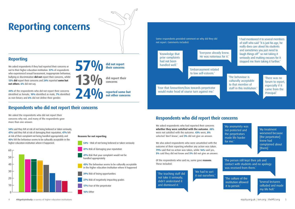

Some respondents provided comment on why did they did not report. Comments included:

We asked respondents who had reported their concerns **whether they were satisfied with the outcome**. **48%**  were not satisfied with the outcome. **43%** were, **8%** selected 'don't know', and **3%** did not give an answer.

We also asked respondents who were unsatisfied with the outcome of their reporting whether any action was taken. **79%** said that no action was taken, while **16%** said yes, **5%** said they did not know and **5%** did not give an answer.

Of the respondents who said no, some gave **reasons**. These included:

'The behaviour is culturally acceptable to that member of staff in this institution.'

'The teaching staff did not take it seriously, didn't understand it and dismissed it.'

**54%** said they felt at risk of not being believed or taken seriously, **47%** said they felt at risk of damaging their reputation, **47%** felt at risk of their complaint not being handled appropriately and **45%** felt the behaviour seems to be culturally acceptable in the higher education institution where it happened. **1998 54%** – Risk of not being believed or taken seriously 'Everyone already knew. He was notorious for it.'

> 'The culture of the institution allowed it to persist.'

'Embarrassment related to low self-esteem.'

> 'We had to sort it out ourselves.'

'There was no forum to report, especially if it came from the Principal.'

'My treatment worsened because [the perpetrator] knew had complained about [them].'

'Several lecturers colluded and made my life hell.'

'Fear that favouritism/bias towards perpetrator would make head of course turn against me.'

'Knowledge that prior complaints had not been handled well.'

> 'My anonymity was not protected and the perpetrators made life harder for me.'

We asked the respondents who did not report their concerns why not, and many of the respondents gave more than one answer.

**47%** Risk of damaging your reputation

**47%** Risk that your complaint would not be

handled appropriately

**Reasons for not reporting** 

in the higher education institution where it happened

**39%** Risk of losing opportunities

**27%** Risk of negatively impacting grades

**17%** Fear of the perpetrator

**16%** Other



4% did not give an answer



30

40

### **Respondents who did not report their concerns**

#### **Reporting**

## **Respondents who did report their concerns**

'I had mentioned it to several members of staff who said "it is just his age, he really does care about his students and sometimes you just need to laugh things off" so not taking it seriously and making excuses for it stopped me from taking it further.'

'The person still kept their job and contact with students and no apology was received from them.'

We asked respondents if they had reported their concerns or not to their higher education institution. **57%** of respondents who experienced sexual harassment, inappropriate behaviour, bullying or discrimination **did not** report their concerns, whilst **13% did** report their concerns and **24%** reported **some but not others**. **6%** did not say.

**44%** of the respondents who did not report their concerns identified as female, **10%** identified as male, **7%** identified as non-binary and **6%** did not define their gender.

# **Reporting concerns**

**their concerns**



**not other concerns**

**concerns**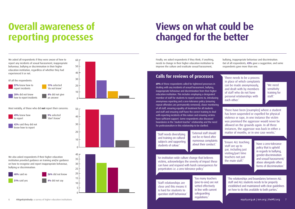6 **#DignityinStudy:** a survey of higher education institutions 7

Most notably, of those who did **not** report their concerns:



We also asked respondents if the interest of the interest of the interest of the interest of the interest of the education institution provided guidance on training and/or guidance on how to recognise

We asked all respondents if they were aware of how to report any incidents of sexual harassment, inappropriate behaviour, bullying or discrimination in their higher education institution, regardless of whether they had experienced it or not. 60

Of all the respondents:

# **Overall awareness of reporting processes**

**69%** of these respondents called for tightened processes in dealing with any incidents of sexual harassment, bullying, inappropriate behaviour and discrimination from their higher inappropriate behaviour and discrimination from their higher education institution. This includes employing a designated member of staff for students to report concerns to, introducing anonymous reporting and a zero-tolerance policy (ensuring anonymous reporting and a zero-tolerance policy (ensuring repeat offenders are permanently removed), closer monitoring of all staff, ensuring equality of treatment for all students and staff and ensuring staff have the correct training to deal with reporting incidents of this nature and ensuring victims have sufficient support. Some respondents also discussed **1** boundaries in the 'student-teacher' relationship and the need for professionalism in this relationship to be clarified. 4% did not give an answer 57% knew how to report incidents

28% did not

concerns

report

9% selected 'don't know'



discrimination.

40% said no 31% said yes

4% did not say

20

**42%** said they did not  $\blacksquare$  know how to report 

'There have been [examples] where a student has been suspended or expelled for physical violence or rape, in one instance the victim was promised the aggressor would never be allowed on the grounds again. In all three instances, the aggressor was back in either a 'External staff should **the matter of months, or in one case weeks.'** 



40 50

 $\overline{40}$ 

 $10<sup>1</sup>$ 

 $20<sup>1</sup>$ 

50 60

 $60-$ 

28% did not

concerns

49% knew how to report

**A22 said they diversifying** and training on cultural **Example 19 subjects and supporting** students of colour.'

report

discrimination.

40% said no 31% said yes 26% did not know 4% did not say









28% did not

concerns



 $\overline{10}$ 



report

discrimination.

40% said no 31% said yes

4% did not say

0

 **26%** did not know **4%** did not say

# **Views on what could be changed for the better**

#### **Calls for reviews of processes**

26% did not know 'Staff relationships are close and this means it is hard for students to question staff behaviour.' not be re-hired after numerous complaints about their conduct.' 'Ensure ALL teaching

**The also asked report in a sketch respondents in the institution wide culture change that believes** 26% did not know education institution provided guidance on  $\mathcal{E}$  $\blacksquare$  victims, acknowledges the severity of impact these education in propriate behaviour, but institution propriate behaviour, but institution provided guidance on th<br>Education in structure of the bully institution provided guidance on the structure of the structure of the str  $\Box$  can have and respond with harsh consequences for **Pand report in perpetrators i.e. a zero tolerance policy.'** 

staff are up to par, including just visiting/part time teachers not just the main staff.'

'We need sensitivity training for staff.'

'The relationships and boundaries between ALL staff and ALL students needs to be properly established and maintained with clear guidelines on how to do this available to both parties.'

'Too many teachers (one-to-one) are not vetted effectively in line with current safeguarding regulations.'

'Have a zero-tolerance policy that is upheld in regards to bullying, gender-discrimination and sexual harassment/ abuse alongside other forms of discrimination.'

'There needs to be a process in place of which complaints can be made anonymously, and dealt with by members of staff who do not have personal relationships with each other.'

Finally, we asked respondents if they think, if anything, needs to change in their higher education institution to improve the culture and eradicate sexual harassment,

bullying, inappropriate behaviour and discrimination. Out of all respondents, **43%** gave a suggestion, and some respondents gave more than one.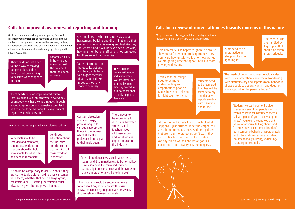Of these respondents who gave a response, 54% called for **improved awareness of reporting** and **training** for students to recognise acts of sexual harassment, bullying, inappropriate behaviour and discrimination from their higher education institution, including training specifically on the Equality Act 2010.

Many respondents also suggested that many higher education institutions currently do not take complaints seriously.

**21%** of respondents suggested other solutions such as:

#### **Calls for improved awareness of reporting and training Calls for a review of current attitudes towards concerns of this nature**

'Clear outlines of what constitutes as sexual harassment, bullying and discrimination so that students know what is wrong and feel like they can report it and it will be taken seriously. Also, having a member of staff who is not connected to others so will not have bias.'

'The culture that allows sexual harassment, sexism and discrimination etc. to be normalised is widespread in the music industry and particularly in conservatoires and this NEEDS to

change in order for anything to improve.' 'It should be compulsory to ask students if they are comfortable before making physical contact with them, whether that be in a large group, masterclass or 1-1 setting, permission must always be given before physical contact.'

'The heads of department need to actually deal with issues rather than ignore them. Not dealing with discriminatory and unprofessional behaviour allows people to get away with it and does not show support for the person affected.'

'Above anything, we need to find a way of making people understand that they did not do anything to deserve what happened to them<sup>'</sup>

> 'Students' voices [need to] be given credence – even from people working within educational institutions there's still an opinion if 'you're too young to know', 'you're only young you don't know what you're talking about', and 'I'm sure they didn't mean it like that' – as in someone behaving inappropriately and it being dismissed as an accident, or not intentionally bullying/sexualising/ harassing for example.'

'More information on the equality act and also being able to talk to a higher member of staff about these issues without any concern or worry.'

'There needs to be an implemented system that is outlined to all student where everybody or anybody who has a complaint goes through a specific system on how to make a complaint and this should be the same for every student regardless of who they are.'

'Have an open conversation upon induction week. We are introduced to time keeping, sick day procedures but not those that actually help us to feel safe.'

'I think students could be encouraged more to talk about any experiences with sexual harassment/bullying/inappropriate behaviour/ discrimination with members of staff.'

'Greater visibility in how to get in contact with the college if there has been an issue.'

'Continued education about the industry and the correct treatment of all those working in theatre.'

'Students need to be reassured that they will be taken seriously and that any reports are dealt with discretion and respect.'

'The way reports are handled by high-up staff. It should be taken more seriously.'

'Rehearsals should be recorded and monitored, conductors, teachers and students should be held accountable for what is said and done in rehearsals.'

'I think that the college need to be more understanding and empathetic of people's issues however irrelevant it might seem to them.'

'At the moment it feels like so much of what happens is just brushed under the carpet. You are told not to make a fuss. And here policies that are meant to protect us don't exist, they are just tick box exercises so the institution can say 'aren't we brilliant we've got this document!' but in reality it is meaningless.'



'This university is so happy to ignore it because they are so focussed on making money. They don't care how unsafe we feel, or how we feel we are getting different opportunities to more privileged divisions.'

'Constant discussions and a language/ process for girls to call out inappropriate things in the moment whilst still feeling professional and equal to their male peers.

'Staff need to be more active in stopping it and not ignoring it.'

'There needs to be more time for discussion between students and teachers about all these issues and what we can expect to face in the industry.'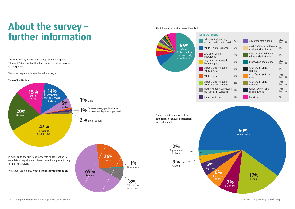# **About the survey – further information**

This confidential, anonymous survey ran from 9 April to 21 May 2018 and within that time frame the survey received 600 responses.

We asked respondents to tell us where they study.

further our analysis.

We also asked responding to  $\mathbf{z}$ education institution between the Univ training and/or guidance on how to recognise and report inappropriate behaviour, bullying or The following ethnicities were identified:



ge

|                                                       | 66%   | Any other ethnic group                                   | Less<br>than 1% |
|-------------------------------------------------------|-------|----------------------------------------------------------|-----------------|
| lish,<br>tish, Welsh<br>pean                          | 9%    | Black / African / Caribbean /<br>Black British - African | $1\%$           |
|                                                       | $5\%$ | Mixed / Dual heritage -<br>White & Black African         | $1\%$           |
|                                                       | $2\%$ | Other Asian background                                   | Less<br>than 1% |
|                                                       | $2\%$ | Asian/Asian British -<br>Chinese                         | $1\%$           |
|                                                       | $2\%$ | Asian/Asian British -<br>Indian                          | Less<br>than 1% |
|                                                       | $2\%$ | Asian/Asian British -<br>Pakistani                       | Less<br>than 1% |
| )ual<br>age -<br>age -<br>bbean<br>ribbean /<br>bbean | $1\%$ | White - Gypsy, Roma<br>or Irish Traveller                | Less<br>than 1% |

**20%**  University **15%**  Music college

**14%**  Conservatoire that does music & drama

**Type of institution:**



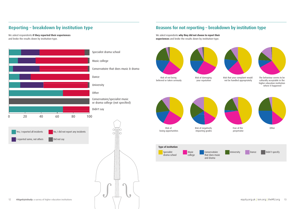

#### **Reporting – breakdown by institution type**

We asked respondents **if they reported their experiences** and broke the results down by institution-type. We asked respondents **why they did not choose to report their experiences** and broke the results down by institution-type.

#### **Reasons for not reporting – breakdown by institution type**



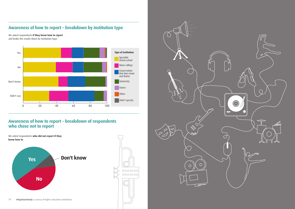We asked respondents **if they knew how to report**  and broke the results down by institution-type.

#### **Awareness of how to report – breakdown by institution type**

#### **Awareness of how to report – breakdown of respondents who chose not to report**



 $\overline{\phantom{a}}$ 



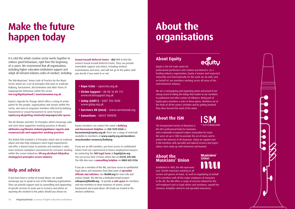

# **Make the future happen today**

It is vital the whole creative sector works together to enforce good behaviours, right from the beginning of a career. We recommend that all organisations, including higher education institutions support and adopt all relevant industry codes of conduct, including:

The ISM-Musicians' Union Code of Practice for the Music Sector which are a set of principles that aims to eradicate bullying, harassment, discrimination and other forms of inappropriate behaviour within the sector: **ism.org/dignityatwork | musiciansunion.org.uk**

Equity's Agenda for Change which offers a string of action points for the people, organisations and venues within the sector, and aims to empower members affected by bullying, harassment or sexual harassment to come forward: **equity.org.uk/getting-involved/campaigns/safe-spaces** 

The UK Theatre and SOLT 10 Principles which encourage safer and even more supportive working practices in theatre: **uktheatre.org/theatre-industry/guidance-reports-andresources/safe-and-supportive-working-practices**

The British Film Institute's 8 Principles which aim to eradicate abuse and also help employers meet legal requirements and offer a shared vision to promote and maintain a safer, more inclusive workplace environment for everyone working within the screen industries: **bfi.org.uk/about-bfi/policystrategy/set-principles-screen-industry**

#### **Help and advice**

If you have been a victim of sexual abuse, we would encourage you to speak to one of the following organisations. They can provide support such as counselling and signposting of specific services to assist you in recovery and advise on reporting the incident to the police should you choose to:

**Sexual Assault Referral Centre** – **dial 111** to find the nearest Sexual Assault Referral Centre. They can provide immediate support and advice, including medical examinations and tests, and will not go to the police until you decide if you want to or not.

Equity members can contact the union's **Bullying and Harassment Helpline** on **020 7670 0268** or **harassment@equity.org.uk** There are a range of materials available to members at **www.equity.org.uk/membersarea/member-resources/bullying**

If you are an ISM member, you have access to confidential advice from our experienced in-house employment lawyers by contacting the **ISM legal team** at **legal@ism.org** You can access their 24-hour advice line on **01275 376 038**. The ISM also runs a **counselling helpline** on **0800 042 0136**.

If you are a member of the MU, you have access to confidential legal advice and assistance from their team of **specialist officials and solicitors**. See **theMU.org** for more info and contact details. The MU has a dedicated email account – **safespace@theMU.org** – to provide **a safe space** for members and non-members to share instances of sexism, sexual harassment and sexual abuse. All emails are treated in the strictest confidence.

- **• Rape Crisis**  rapecrisis.org.uk
- **Victim Support –** 08 08 16 89 111 www.victimsupport.org.uk
- **Galop (LGBT+)**  0207 704 2040 www.galop.org.uk
- **Survivors UK (men)**  www.survivorsuk.org
- **Samaritans** 08457 909090

## **About the organisations**

#### **About Equity**



Equity is the UK trade union for

professional performers and creative practitioners. As a leading industry organisation, Equity is known and respected nationally and internationally for the work we do with, and on behalf of, our members working across all areas of the entertainment industry.

We are a campaigning and organising union and proud of our strong record of taking the things that matter to our members to parliament and other centres of influence. Being part of Equity gives members a voice in these places. Members are at the heart of all the union's activities and by getting involved they drive forward the work of the union.

#### **About the ISM**



The Incorporated Society of Musicians is the UK's professional body for musicians

and a nationally-recognised subject association for music. We were set up in 1882 to promote the art of music and to protect the interests of all musicians. Today we support over 8,500 members with specialist and tailored services and expert advice, from study up until retirement and beyond.

#### **About the Musicians' Union**

**Musicians' Union** 

Established in 1893, the MU represents over 30,000 musicians working in all

sectors and genres of music. As well as negotiating on behalf of its members with all the major employers of musicians in the UK, the MU offers a range of services tailored for the self-employed such as legal advice and assistance, unpaid fee recovery, template contracts and specialist insurances.